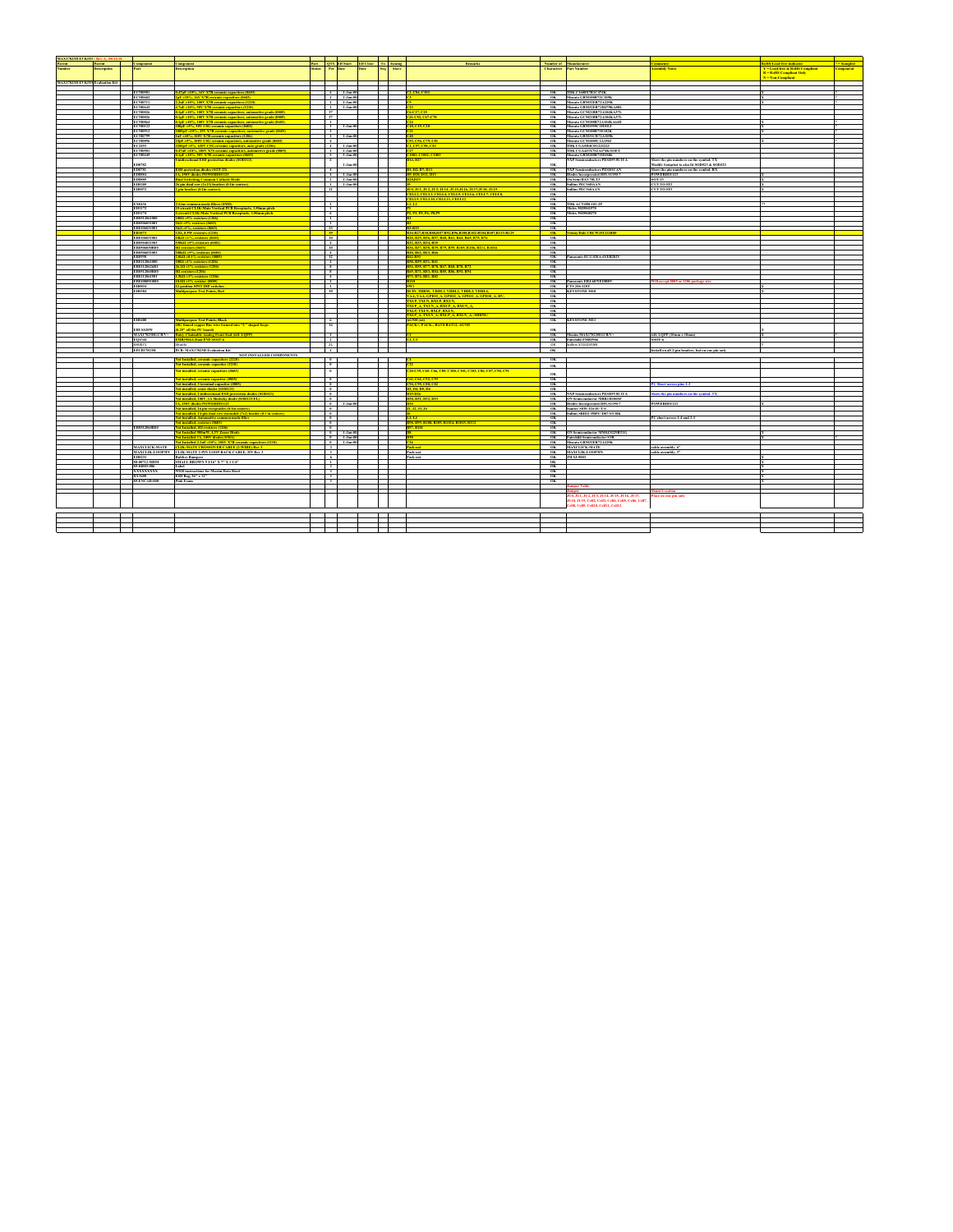| MAX17823H EVKIT#: Re                  |            |                                    |                                                                       |                                     |           |                                                                                                                  |                   |                                                      |                                                   |                                          |                |
|---------------------------------------|------------|------------------------------------|-----------------------------------------------------------------------|-------------------------------------|-----------|------------------------------------------------------------------------------------------------------------------|-------------------|------------------------------------------------------|---------------------------------------------------|------------------------------------------|----------------|
| Parent                                |            | cesponen                           | <b>mpiaral</b>                                                        | QTY Eff Start Eff Clase To Isuin    |           |                                                                                                                  |                   | Number of Manufacturer                               |                                                   |                                          | <b>Sampled</b> |
| umber                                 | escription |                                    | cription                                                              | Per Date                            | .<br>Stor |                                                                                                                  | <b>Characters</b> | <b>Part Number</b>                                   | <b>Membly Notes</b>                               | <b>Y-Lead-free &amp; RollS Compliant</b> | <b>upiscul</b> |
|                                       |            |                                    |                                                                       |                                     |           |                                                                                                                  |                   |                                                      |                                                   | <b>R - RoHS Compliant Only</b>           |                |
|                                       |            |                                    |                                                                       |                                     |           |                                                                                                                  |                   |                                                      |                                                   | $N = N$ on-Compliant                     |                |
| <b>MAX17823H EVKIT#Evaluation Kit</b> |            |                                    |                                                                       |                                     |           |                                                                                                                  |                   |                                                      |                                                   |                                          |                |
|                                       |            |                                    |                                                                       |                                     |           |                                                                                                                  |                   |                                                      |                                                   |                                          |                |
|                                       |            | ECM0SSI                            | pF ±10%, 16V X7R ceramic capacitors (8603)                            | $4$ $1\text{-}1\text{-}1\text{-}10$ |           | C84, C102                                                                                                        | OK                | TDK C1608X7R1C474K                                   |                                                   |                                          |                |
|                                       |            | <b>ECM0602</b>                     | 1µF ±10%, 16V X7R ceramic capacitors (8603)                           | 1 1-Jan-00                          |           |                                                                                                                  | OK                | Marata GRM188R71C105K                                |                                                   |                                          |                |
|                                       |            | ECM0711                            | tuF±10%, 100V X7R ceramic capacitors (1210)                           | $1 - 1$ -Jan-80                     |           |                                                                                                                  | OK                | Murata GRM32ER72A225K                                |                                                   |                                          |                |
|                                       |            | <b>ECM0643</b>                     | 7uF±10%, 50V X7R ceramic capacitors (1210)                            | 1 1-Jan-00                          |           |                                                                                                                  | OK                | Marata GRM32ER71H475KA881                            |                                                   |                                          |                |
|                                       |            | <b>ECM0826</b>                     |                                                                       | 37                                  |           | $-017,025$                                                                                                       | ок                | Marata GCM21BR72A104KA37L                            |                                                   |                                          |                |
|                                       |            |                                    | InF±10%, 100V X7R ceramic capacitors, automotive grade (0805).        |                                     |           |                                                                                                                  |                   |                                                      |                                                   |                                          |                |
|                                       |            | <b>ECM0826</b>                     | 0.1uF±10%, 100V X7R ceramic capacitors, automotive wrade (0805)       | 37                                  |           | <b>11-CS2, C67-C7</b>                                                                                            |                   | OK Murata GCM21BR72A104KA37L                         |                                                   |                                          |                |
|                                       |            | ECM0864                            | UpF±10%, 100V X7R ceramic capacitors, automotive grade (0603)         | $\overline{1}$                      |           |                                                                                                                  | ок                | Murata GCM188R72A104KA64D                            |                                                   |                                          |                |
|                                       |            | <b>ECM0122</b>                     | 100pF ±5%, 50V C0G ceramic capacitors (0402)                          | 3 1-Jan 40                          |           | 18. C19, C20                                                                                                     | ок                | Murata GRM1555C1H101J                                |                                                   |                                          |                |
|                                       |            | <b>ECM0912</b>                     | 00bF ±10%, 25V X7R ceramic canaciters, automotive #rade (0603)        | ┯                                   |           |                                                                                                                  |                   | OK Murata GCM188R71E102K                             |                                                   |                                          |                |
|                                       |            | ECM0799                            | 1uF ±10%; 100V X7R ceramic capacitors (1206)                          | $1 - 1$ -Jan-80                     |           |                                                                                                                  | OK                | Marata GRM31CR72A105K                                |                                                   |                                          |                |
|                                       |            | <b>ECM0896</b>                     | 5pF±5%, 100V COG ceramic capacities, automotive grade (0603)          | ⊣⊤                                  |           | CSL C79, C81                                                                                                     | OK                | Marata GCM1885C2A158J                                |                                                   |                                          |                |
|                                       |            | EC2493                             | 200pF ±5%, 630V C0G ceramic capacitors, auto grade (1206)             | $4$ $1$ -Jan-80                     |           | <b>CST. CSR. C83</b>                                                                                             |                   | OK TDK CGASH4C0G2J222J                               |                                                   |                                          |                |
|                                       |            | <b>ECM0581</b>                     | 47uF ±10%, 100V X7S ceramic capacitors, automotive grade (0805)       | 1-Jan-00<br>$\overline{1}$          |           |                                                                                                                  | ок                | TDK CGA4J3X7S2A474K/SOFT                             |                                                   |                                          |                |
|                                       |            | <b>ECM0445</b>                     | 1µF±10%, 50V X7R ceramic capacitors (0603)                            | $3$ $1$ -Jan-80                     |           | 1001, C1002, C1003                                                                                               | OK                | Marata GRM188R71H104K                                |                                                   |                                          |                |
|                                       |            |                                    | idirectional ESD protection diedes (SOD323)                           | $\mathbf{r}$                        |           | 14. D27                                                                                                          |                   | NXP Semiconductors PESDSV0U1UA                       | how the nin numbers on the symbol. TX             |                                          |                |
|                                       |            | ED0782                             |                                                                       | 1-Jan-00                            |           |                                                                                                                  | ок                |                                                      | dodify footprint to also fit SOD523 & SOD323      |                                          |                |
|                                       |            | ED0781                             | SD protection diodes (SOT-23)                                         | ł                                   |           | 1. D2. D7. D11                                                                                                   |                   | OK NXP Semiconductors PESDICAN                       | Show the nin numbers on the symbol. RX            |                                          |                |
|                                       |            | <b>ED0884</b>                      | 1A, 150V dieder POWERDI®123                                           | $4$ $1\sqrt{3m-40}$                 |           | <b>0. DIO. DI2. DI3</b>                                                                                          | OK                | Diedes Incorporated DFLS1150-7                       | POWERD#8123                                       |                                          |                |
|                                       |            | <b>EDOSSS</b>                      | ual Switching Common Cathode Diode                                    | $2$ $1$ -Jan-80                     |           | <b>RD29</b>                                                                                                      | OK                | On Semi BAV70LT3                                     | <b>SOT-23</b>                                     |                                          |                |
|                                       |            | E199205                            | t6 pis dual row (2x13) braders (0.1in centers).                       | $1$ $1$ -Jan 40                     |           |                                                                                                                  |                   | OK Sullins PEC36DAAN                                 | <b>CUT TO ETI</b>                                 |                                          |                |
|                                       |            | E190072                            | pin headers (0.1in centers)                                           | $\overline{1}$                      |           |                                                                                                                  | ок                | Sullins PEC36SAAN                                    | <b>CUT TO FIT</b>                                 |                                          |                |
|                                       |            |                                    |                                                                       | ═                                   |           | <u>00, JUL, JU2, JU3, JU44, JU45,JU46, JU47,JU48, JU49<br/>ELL2, CELL3, CELL4, CELL5, CELL6, CELL7, CELL3, C</u> | ок                |                                                      |                                                   |                                          |                |
|                                       |            |                                    |                                                                       |                                     |           | <b>LLA CELLIA CELLIL CELLI2</b>                                                                                  | $-0K$             |                                                      |                                                   |                                          |                |
|                                       |            | <b>EXIMAG</b>                      | <b>Claims common made filters (SMD)</b>                               | $\overline{1}$                      |           | <b>ITA</b>                                                                                                       | $-0K$             | <b>TDK ACTASK101.2P</b>                              |                                                   |                                          |                |
|                                       |            | EH1172                             | <b>Gircuit CLIK-Mate Vertical PCB Receptacle, 1.50mm pitch</b>        | П                                   |           |                                                                                                                  |                   | OK Molex 5025841570                                  |                                                   |                                          |                |
|                                       |            | EH1174                             | 2-circuit CLIK-Mate Vertical PCB Receptacle, 1.50mm pitch             | $\epsilon$                          |           | 2. P3. P5. P6. P8. P9                                                                                            |                   | OK Moles 5025840270                                  |                                                   |                                          |                |
|                                       |            | ER0512061000                       | 100Ω ±5% resistors (1206)                                             | $\overline{1}$                      |           |                                                                                                                  | $_{0k}$           |                                                      |                                                   |                                          |                |
|                                       |            | ER05MA31001                        | kΩ ±5% resistors (0603)                                               | ┳                                   |           |                                                                                                                  | $-0K$             |                                                      |                                                   |                                          |                |
|                                       |            |                                    |                                                                       |                                     |           | <b>1-R15</b>                                                                                                     |                   |                                                      |                                                   |                                          |                |
|                                       |            | ER0106031001<br><b>DIATE</b>       | kΩ ±1%, resistors (0603)                                              | 13<br>$\overline{y}$                |           | 16-R27.R30.R80.R87-R92.R96.R100.R102-R104.R107.R113-R125                                                         | OK<br>$_{\rm ok}$ | <b>Dale CRCW251212R0F</b>                            |                                                   |                                          |                |
|                                       |            | ER0106031002                       | 20, 0.5W resistors (1210)                                             | $\frac{1}{10}$                      |           |                                                                                                                  | $_{\rm OK}$       |                                                      |                                                   |                                          |                |
|                                       |            |                                    | 0kΩ ±1%, resistors (0603)<br>50kΩ ±5% resistors (0402)                |                                     |           | <u>18, R19, R56, R57, R60, R61, R64, R65, R75, R76</u><br>32, R33, R34, R35                                      |                   |                                                      |                                                   |                                          |                |
|                                       |            | ER0504021503<br><b>ER05MA30R00</b> |                                                                       | $\overline{1}$                      |           |                                                                                                                  | OK<br>$_{0k}$     |                                                      |                                                   |                                          |                |
|                                       |            | <b>EROSMASIANS</b>                 | 02 resistors (0603)                                                   | 10                                  |           | 36, R37, R38, R39, R79, R95, R105, R106, R111, R1016                                                             |                   |                                                      |                                                   |                                          |                |
|                                       |            |                                    | 001Ω ±5%, resistors (0603)                                            | Ī<br>4                              |           | 40, R62, R63, R66                                                                                                | $_{\rm ok}$       |                                                      |                                                   |                                          |                |
|                                       |            | ER0998                             | 10kΩ ±0.1% resistors (0805)                                           | 12                                  |           | 42-R53                                                                                                           | OK                | Panasonic-ECG ERA-6YEB202V                           |                                                   |                                          |                |
|                                       |            | ER0112061000                       | 0.11% resistors (1206)                                                | Ė                                   |           | 8, R59, R31, R41                                                                                                 | OK                |                                                      |                                                   |                                          |                |
|                                       |            | ER01120626R1                       | $\Omega$ ±1% resistors (1206)                                         | ×                                   |           | 4, RSS, R77, R78, R67, R68, R70, R72                                                                             | - OK              |                                                      |                                                   |                                          |                |
|                                       |            | ER0512060R00                       | resistors (1206)                                                      | г з ⊤                               |           | 9, R71, R83, R84, R85, R86, R93, R94                                                                             | - OK              |                                                      |                                                   |                                          |                |
|                                       |            | ER0112061501                       | $8k\Omega$ ±1% resistors (1206)                                       | ाग                                  |           | 3, R74, R81, R82                                                                                                 | $_{\rm OK}$       |                                                      |                                                   |                                          |                |
|                                       |            | ER01080510R0                       | 0Ω ±1% resistor (0005)                                                | ш                                   |           |                                                                                                                  | 0 <sub>K</sub>    | Panasonic ERJ-6ENF10R0V                              | Will accept 0805 or 1206 package si               |                                          |                |
|                                       |            | EHB834                             | <b>pasition SPST DIP switches</b>                                     | П                                   |           |                                                                                                                  | OK                | CTS 206-12ST                                         |                                                   |                                          |                |
|                                       |            | EH0384                             | <b>Hingrosse Test Points, Red</b>                                     | 30                                  |           | CIN, THRM, VDDL1, VDDL2, VDDL3, VDDL4,                                                                           | OK                | <b>KEYSTONE 5010</b>                                 |                                                   |                                          |                |
|                                       |            |                                    |                                                                       | ═                                   |           | AA, VAA, GPIO3-A, GPIO2-A, GPIO1-A, GPIO0-A, HV,                                                                 | - OK              |                                                      |                                                   |                                          |                |
|                                       |            |                                    |                                                                       | Ξ                                   |           | UP. TXUN. RXUP. RXUN                                                                                             | OK                |                                                      |                                                   |                                          |                |
|                                       |            |                                    |                                                                       |                                     |           | XUP A, TXUN A, RXUP A, RXUN A,                                                                                   | OK                |                                                      |                                                   |                                          |                |
|                                       |            |                                    |                                                                       |                                     |           | LP. TXLN, RXLP, RX                                                                                               | - OK              |                                                      |                                                   |                                          |                |
|                                       |            |                                    |                                                                       | $\overline{\phantom{a}}$            |           | XLP A, TXLN A, RXLP A, RXLN A, SHDNL                                                                             | $_{\rm OK}$       |                                                      |                                                   |                                          |                |
|                                       |            | E198400                            | ultinurnose Test Points, Black                                        | $\epsilon$                          |           | <b>END G60</b>                                                                                                   | OK                | KEYSTONE 5011                                        |                                                   |                                          |                |
|                                       |            |                                    | <b>K</b> timed copper Bus wire formed into "U" shaped loops           | 16                                  |           | <b>ACK+, PACK-, BAT0-BAT12, AGND</b>                                                                             |                   |                                                      |                                                   |                                          |                |
|                                       |            | <b>BUSS20W</b>                     | 25" off the PC board)                                                 |                                     |           |                                                                                                                  | ок                |                                                      |                                                   |                                          |                |
|                                       |            | MAX17823HGCB/V+                    | <b>Daisy-Chainable Analog Front End (64L LQFP)</b>                    | □                                   |           |                                                                                                                  | ок                | Maxim MAX17823HGCB/V+                                | 64L LOFP (10mm x 10mm)                            |                                          |                |
|                                       |            | EO1344                             | <b>IB3916A Deal PNP SSOT-6</b>                                        | T                                   |           |                                                                                                                  |                   | OK Fairchild FMB3906                                 | SS0T-6                                            |                                          |                |
|                                       |            | EH0071                             | <b>Chusens</b>                                                        | 21                                  |           |                                                                                                                  | QK                | Sullins STC02SYAN                                    |                                                   |                                          |                |
|                                       |            | <b>EPCB17823H</b>                  | PCB: MAX17823H Evaluation Kit                                         | ⊤⊤                                  |           |                                                                                                                  | OK                |                                                      | Install on all 2-pin headers, but on one pin only |                                          |                |
|                                       |            |                                    | NOT INSTALLED COMPONENTS                                              |                                     |           |                                                                                                                  |                   |                                                      |                                                   |                                          |                |
|                                       |            |                                    | Not Installed, ceramic capacitors (2220)                              | $\overline{\phantom{a}}$            |           |                                                                                                                  | OK                |                                                      |                                                   |                                          |                |
|                                       |            |                                    | sot Installed, ceramic capacitor (1210)                               | $\overline{\phantom{a}}$            |           |                                                                                                                  | $-0K$             |                                                      |                                                   |                                          |                |
|                                       |            |                                    | 601 installed, ceramic capacitors (0603)                              | ō                                   |           | 28-C39, C68, C66, C88, C100, C101, C103, C86, C87, C90, C91                                                      |                   |                                                      |                                                   |                                          |                |
|                                       |            |                                    |                                                                       |                                     |           |                                                                                                                  | ок                |                                                      |                                                   |                                          |                |
|                                       |            |                                    | Not installed, ceramic capacitor (0805)                               | $\overline{\phantom{a}}$            |           | 61, C62, C92, C93                                                                                                | OK                |                                                      |                                                   |                                          |                |
|                                       |            |                                    | of installed, 3 terminal capacitor (0005)                             | $\overline{\phantom{a}}$            |           | 4, C95, C81, C82                                                                                                 | OK                |                                                      | PC Short across pins 1-3                          |                                          |                |
|                                       |            |                                    | ot installed, zener diodex (SOD123)                                   | $\overline{\phantom{a}}$            |           | <b>D4, D5, D6</b>                                                                                                | OK                |                                                      |                                                   |                                          |                |
|                                       |            |                                    | ot installed, Unidirectional ESD protection diodes (SOD323)           | $\overline{\phantom{a}}$            |           | $5-126$                                                                                                          | OK                | NXP Semiconductors PESDSV0U1UA                       | Show the pin numbers on the symbol. TX            |                                          |                |
|                                       |            |                                    | Not installed, 100V, 1A Shotteky diade (SOD123-FL)                    | $\overline{\phantom{a}}$            |           | 30, D31, D32, D33                                                                                                | ок                | ON Semiconductor MBR1H100SF                          |                                                   |                                          |                |
|                                       |            |                                    | <b>A. 150V diedes POWERDI®123</b>                                     | $0$ $1$ -Jan $0$                    |           |                                                                                                                  | OK                | Diodes Incorporated DFLS1150-7                       | POWERD#8123                                       |                                          |                |
|                                       |            |                                    | Not installed, 16 pin receptades (0.1in centers)                      | $\overline{\phantom{a}}$            |           | 1, J2, J3, J4                                                                                                    | OK                | Samter SSW-116-01-T-S                                |                                                   |                                          |                |
|                                       |            |                                    | Not installed, 14-pin dual row shrouded (7x2) header (0.1 in centers) | −∘                                  |           |                                                                                                                  | OK                | Sullins SBH11-PBPC-DI7-ST-BK                         |                                                   |                                          |                |
|                                       |            |                                    |                                                                       | −∘                                  |           |                                                                                                                  | OK                |                                                      | PC short across 1-4 and 2-3                       |                                          |                |
|                                       |            |                                    | Not installed, Automotive common mode filter                          |                                     |           | -14                                                                                                              |                   |                                                      |                                                   |                                          |                |
|                                       |            |                                    | ot installed, resistors (8603)                                        | $\overline{\bullet}$                |           | K, R99, R108, R109, R1014, R1015, R112                                                                           | OK                |                                                      |                                                   |                                          |                |
|                                       |            | ER0512060R00                       | Not Installed, 0Ω resistors (1206)                                    | न                                   |           | 7.010                                                                                                            | ок                |                                                      |                                                   |                                          |                |
|                                       |            |                                    | ot Installed 500mW, 4.3V Zener Diede                                  | $0$ $1-Jan-10$                      |           |                                                                                                                  | ок                | ON Semiconductor MMSZ5229BT1G                        |                                                   |                                          |                |
|                                       |            |                                    | Not Installed 1A, 100V diodes (SMA)                                   | 0 1-Jan-00                          |           |                                                                                                                  | $-0K$             | <b>Fairchild Semiconductor S1B</b>                   |                                                   |                                          |                |
|                                       |            |                                    | ot Installed 2.2nF±10%, 100V X7R ceramic capacitors (1210)            | $0$ $1-Jan-10$                      |           |                                                                                                                  |                   | OK Murata GRM32ER72A225K                             |                                                   |                                          |                |
|                                       |            |                                    | MAXCLICK-MATE CLIK-MATE CROSSOVER CABLE (2-WIRE) Rev 3                | $\overline{\phantom{a}}$            |           | <b>Selection</b>                                                                                                 | OK                | <b>MAXCLICK-MATE</b>                                 | cable assembly, 6"                                |                                          |                |
|                                       |            |                                    | MAXCLIK-LOOP3IN CLIK-MATE 2-PIN LOOP-BACK CABLE, 3IN Rev 3            | $\overline{1}$                      |           | Pack-out                                                                                                         |                   | OK MAXCLIK-LOOP3IN                                   | cable assembly, 3"                                |                                          |                |
|                                       |            | E190231                            | <b>Rubber Bumpers</b>                                                 | $\overline{\phantom{a}}$            |           | Pack-out                                                                                                         | $-0K$             | 3M SJ-5003                                           |                                                   |                                          |                |
|                                       |            | 88-00712-MDM                       | SMALL BROWN 9 3/16" X 7" X 1 1/4"                                     | Ť                                   |           |                                                                                                                  | ок                |                                                      |                                                   |                                          |                |
|                                       |            | 2003/00/34 28:38                   | Label 1                                                               | - 1                                 |           |                                                                                                                  | ок                |                                                      |                                                   |                                          |                |
|                                       |            | XXXXXXXX                           | WEB instructions for Maxim Data Sheet                                 | $\overline{\phantom{a}}$            |           |                                                                                                                  | $_{\rm OK}$       |                                                      |                                                   |                                          |                |
|                                       |            | DY3650                             | ESD Bar, 36" x 12"                                                    | $\overline{\phantom{a}}$            |           |                                                                                                                  | $ \alpha$ K       |                                                      |                                                   |                                          |                |
|                                       |            | <b>SUENCABJOB</b>                  | Pink Foam                                                             | $\overline{1}$                      |           |                                                                                                                  | 0K                |                                                      |                                                   |                                          |                |
|                                       |            |                                    |                                                                       |                                     |           |                                                                                                                  |                   |                                                      |                                                   |                                          |                |
|                                       |            |                                    |                                                                       |                                     |           |                                                                                                                  |                   |                                                      | <b>boot Lacati</b>                                |                                          |                |
|                                       |            |                                    |                                                                       |                                     |           |                                                                                                                  |                   | 00. JULIU2. JU3. JU14. JU15. JU16. JU17              | ice on one pin onl                                |                                          |                |
|                                       |            |                                    |                                                                       |                                     |           |                                                                                                                  |                   | U18, JU19, Cell2, Cell3, Cell4, Cell5, Cell6, Cell7. |                                                   |                                          |                |
|                                       |            |                                    |                                                                       |                                     |           |                                                                                                                  |                   | dB, CeB9, CeB10, CeB11, CeB12                        |                                                   |                                          |                |
|                                       |            |                                    |                                                                       |                                     |           |                                                                                                                  |                   |                                                      |                                                   |                                          |                |
|                                       |            |                                    |                                                                       |                                     |           |                                                                                                                  |                   |                                                      |                                                   |                                          |                |
|                                       |            |                                    |                                                                       |                                     |           |                                                                                                                  |                   |                                                      |                                                   |                                          |                |
|                                       |            |                                    |                                                                       |                                     |           |                                                                                                                  |                   |                                                      |                                                   |                                          |                |
|                                       |            |                                    |                                                                       |                                     |           |                                                                                                                  |                   |                                                      |                                                   |                                          |                |
|                                       |            |                                    |                                                                       |                                     |           |                                                                                                                  |                   |                                                      |                                                   |                                          |                |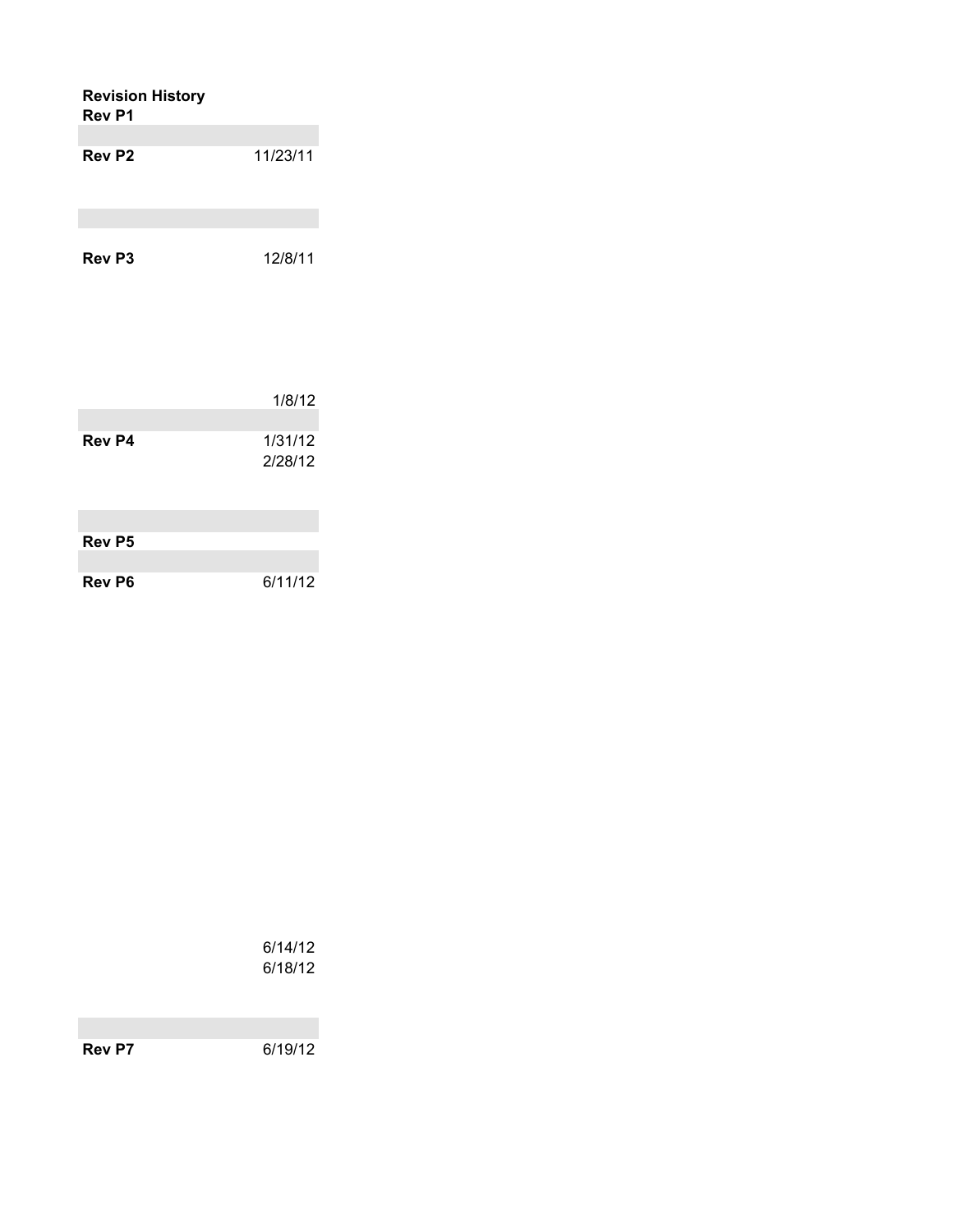| <b>Revision History</b><br>Rev <sub>P1</sub> |          |
|----------------------------------------------|----------|
| Rev P <sub>2</sub>                           | 11/23/11 |
|                                              |          |
| Rev P3                                       | 12/8/11  |
|                                              |          |

|        | 1/8/12             |
|--------|--------------------|
| Rev P4 | 1/31/12<br>2/28/12 |
|        |                    |
| Rev P5 |                    |
| Rev P6 | 6/11/12            |

6/14/12 6/18/12

**Rev P7** 6/19/12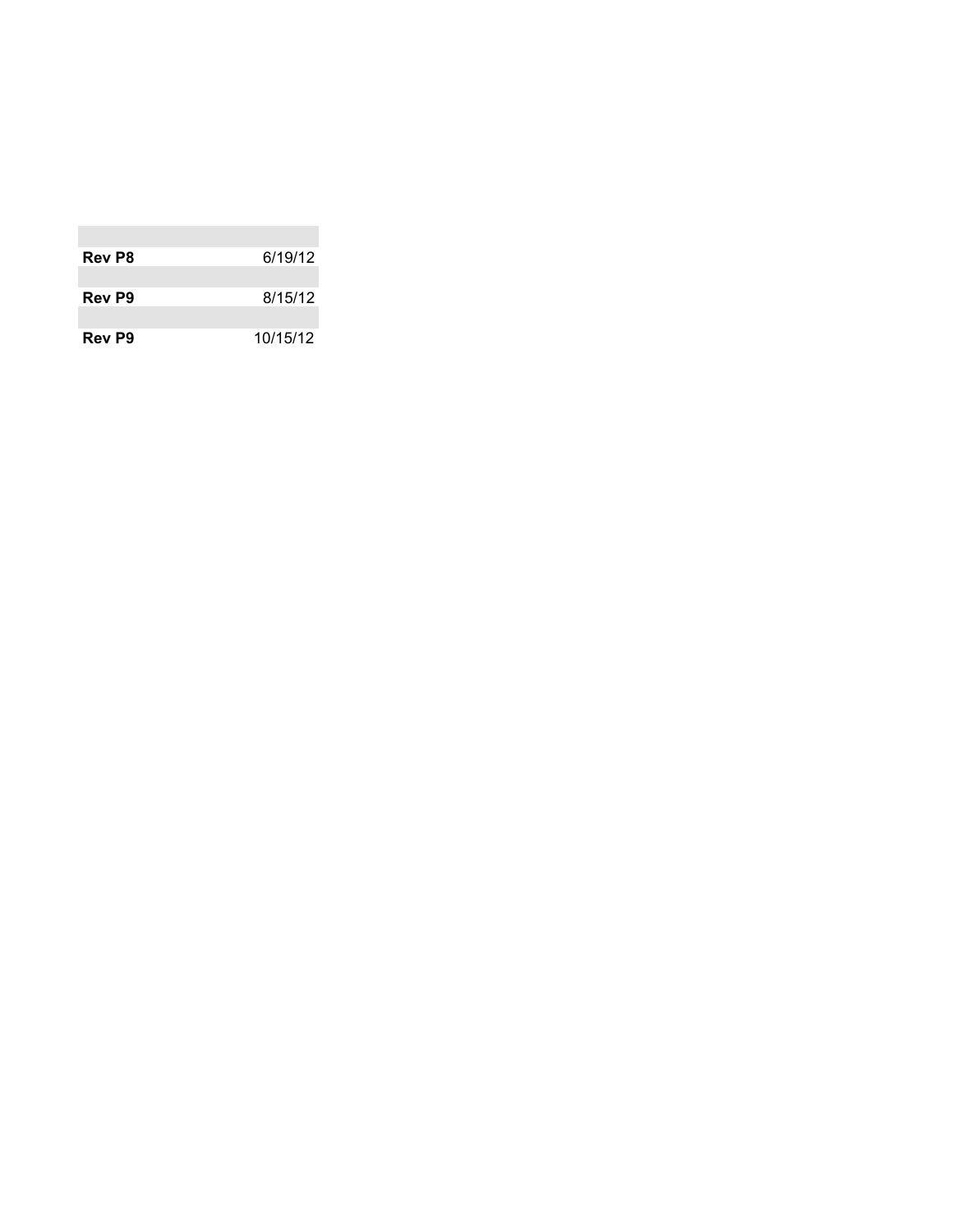| Rev P8 | 6/19/12  |
|--------|----------|
|        |          |
| Rev P9 | 8/15/12  |
|        |          |
| Rev P9 | 10/15/12 |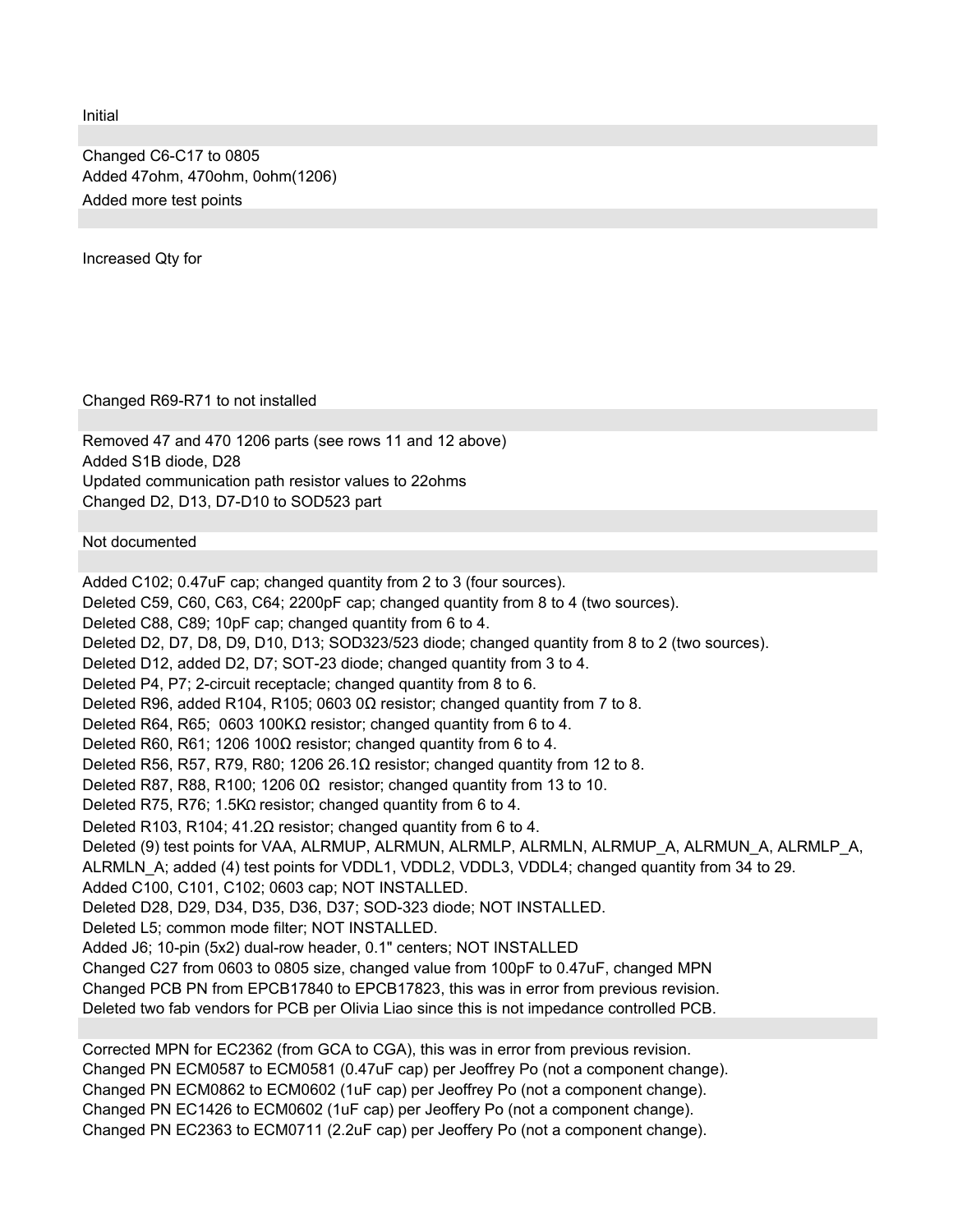Initial

Changed C6-C17 to 0805 Added 47ohm, 470ohm, 0ohm(1206) Added more test points

Increased Qty for

Changed R69-R71 to not installed

Removed 47 and 470 1206 parts (see rows 11 and 12 above) Added S1B diode, D28 Updated communication path resistor values to 22ohms Changed D2, D13, D7-D10 to SOD523 part

Not documented

Added C102; 0.47uF cap; changed quantity from 2 to 3 (four sources). Deleted C59, C60, C63, C64; 2200pF cap; changed quantity from 8 to 4 (two sources). Deleted C88, C89; 10pF cap; changed quantity from 6 to 4. Deleted D2, D7, D8, D9, D10, D13; SOD323/523 diode; changed quantity from 8 to 2 (two sources). Deleted D12, added D2, D7; SOT-23 diode; changed quantity from 3 to 4. Deleted P4, P7; 2-circuit receptacle; changed quantity from 8 to 6. Deleted R96, added R104, R105; 0603 0Ω resistor; changed quantity from 7 to 8. Deleted R64, R65; 0603 100 KΩ resistor; changed quantity from 6 to 4. Deleted R60, R61; 1206 100Ω resistor; changed quantity from 6 to 4. Deleted R56, R57, R79, R80; 1206 26.1Ω resistor; changed quantity from 12 to 8. Deleted R87, R88, R100; 1206 0Ω resistor; changed quantity from 13 to 10. Deleted R75, R76; 1.5KΩ resistor; changed quantity from 6 to 4. Deleted R103, R104; 41.2Ω resistor; changed quantity from 6 to 4. Deleted (9) test points for VAA, ALRMUP, ALRMUN, ALRMLP, ALRMLN, ALRMUP\_A, ALRMUN\_A, ALRMLP\_A, ALRMLN\_A; added (4) test points for VDDL1, VDDL2, VDDL3, VDDL4; changed quantity from 34 to 29. Added C100, C101, C102; 0603 cap; NOT INSTALLED. Deleted D28, D29, D34, D35, D36, D37; SOD-323 diode; NOT INSTALLED. Deleted L5; common mode filter; NOT INSTALLED. Added J6; 10-pin (5x2) dual-row header, 0.1" centers; NOT INSTALLED Changed C27 from 0603 to 0805 size, changed value from 100pF to 0.47uF, changed MPN Changed PCB PN from EPCB17840 to EPCB17823, this was in error from previous revision. Deleted two fab vendors for PCB per Olivia Liao since this is not impedance controlled PCB. Corrected MPN for EC2362 (from GCA to CGA), this was in error from previous revision. Changed PN ECM0587 to ECM0581 (0.47uF cap) per Jeoffrey Po (not a component change). Changed PN ECM0862 to ECM0602 (1uF cap) per Jeoffrey Po (not a component change).

Changed PN EC1426 to ECM0602 (1uF cap) per Jeoffery Po (not a component change).

Changed PN EC2363 to ECM0711 (2.2uF cap) per Jeoffery Po (not a component change).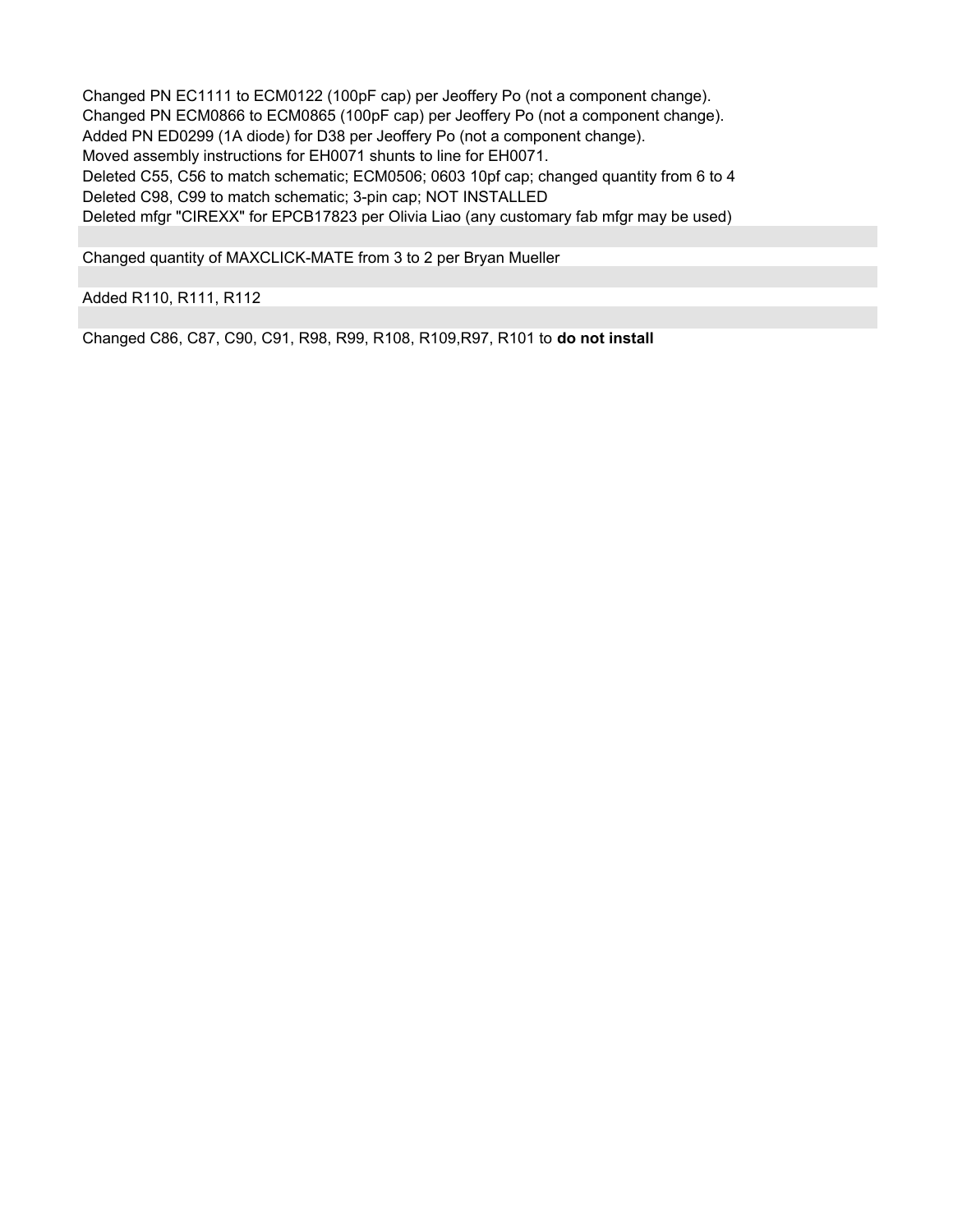Changed PN EC1111 to ECM0122 (100pF cap) per Jeoffery Po (not a component change). Changed PN ECM0866 to ECM0865 (100pF cap) per Jeoffery Po (not a component change). Added PN ED0299 (1A diode) for D38 per Jeoffery Po (not a component change). Moved assembly instructions for EH0071 shunts to line for EH0071. Deleted C55, C56 to match schematic; ECM0506; 0603 10pf cap; changed quantity from 6 to 4 Deleted C98, C99 to match schematic; 3-pin cap; NOT INSTALLED Deleted mfgr "CIREXX" for EPCB17823 per Olivia Liao (any customary fab mfgr may be used)

Changed quantity of MAXCLICK-MATE from 3 to 2 per Bryan Mueller

Added R110, R111, R112

Changed C86, C87, C90, C91, R98, R99, R108, R109,R97, R101 to **do not install**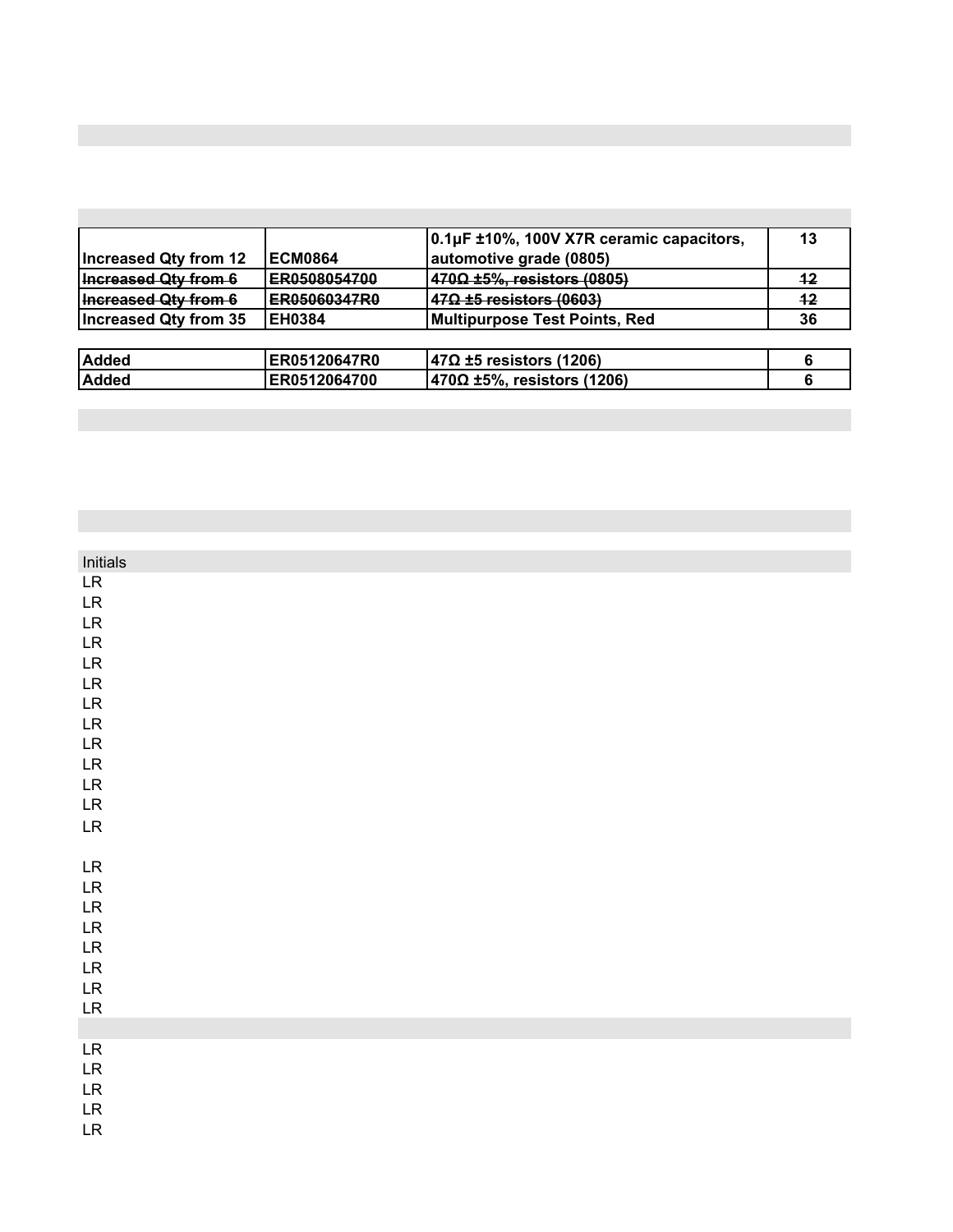|                              |                | 0.1µF ±10%, 100V X7R ceramic capacitors, | 13      |
|------------------------------|----------------|------------------------------------------|---------|
| <b>Increased Qty from 12</b> | <b>ECM0864</b> | automotive grade (0805)                  |         |
| Increased Qty from 6         | ER0508054700   | $470\Omega \pm 5\%,$ resistors (0805)    | $12 \,$ |
| <b>Increased Qty from 6</b>  | ER05060347R0   | $47\Omega$ ±5 resistors (0603)           | 42      |
| Increased Qty from 35        | <b>EH0384</b>  | <b>Multipurpose Test Points, Red</b>     | 36      |
|                              |                |                                          |         |
| <b>Added</b>                 | ER05120647R0   | $47\Omega$ ±5 resistors (1206)           | 6       |
| <b>Added</b>                 | ER0512064700   | $470\Omega$ ±5%, resistors (1206)        | 6       |

a sa mga bangay na mga bangay na mga bangay ng mga bangay ng mga bangay ng mga bangay ng mga bangay ng mga ban

a series and the series of the series of the series of the series of the series of the series of the series of

and the control of the control of the control of the control of the control of the control of the control of the

the control of the control of the control of the control of the control of the control of

| Initials                          |
|-----------------------------------|
| ${\sf LR}$                        |
| ${\sf LR}$                        |
| ${\sf LR}$                        |
| ${\sf LR}$                        |
| ${\sf LR}$                        |
| ${\sf LR}$                        |
| $\ensuremath{\mathsf{LR}}$        |
| ${\sf LR}$<br>${\sf LR}$          |
| ${\sf LR}$                        |
| ${\sf LR}$                        |
| ${\sf LR}$                        |
| $\ensuremath{\mathsf{LR}}\xspace$ |
|                                   |
| ${\sf LR}$                        |
| ${\sf LR}$                        |
| ${\sf LR}$                        |
| ${\sf LR}$                        |
| ${\sf LR}$                        |
| ${\sf LR}$                        |
| ${\sf LR}$                        |
| ${\sf LR}$                        |
|                                   |
| ${\sf LR}$                        |
| $\ensuremath{\mathsf{LR}}\xspace$ |
| ${\sf LR}$                        |
| ${\sf LR}$<br>${\sf LR}$          |
|                                   |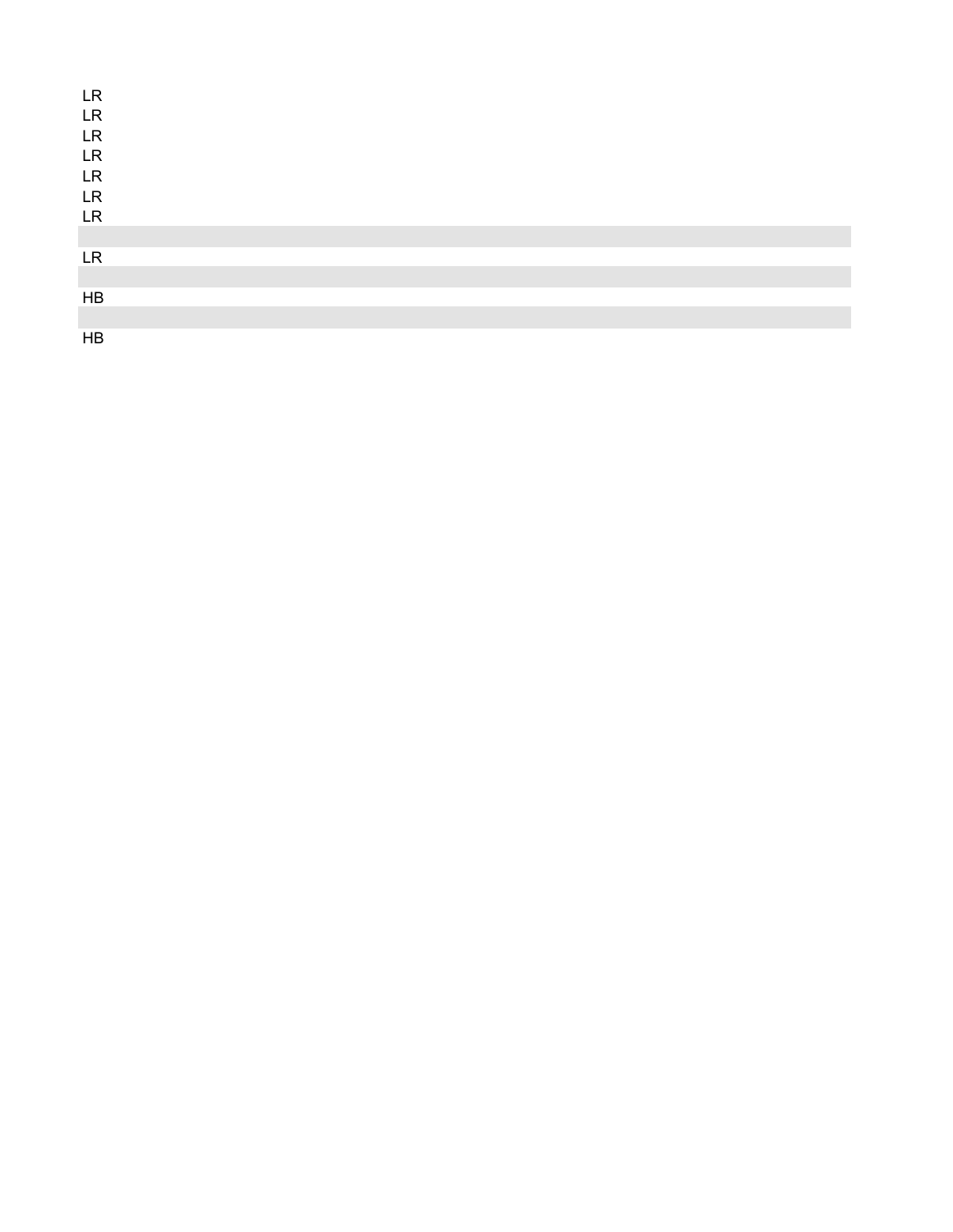| <b>LR</b> |  |  |
|-----------|--|--|
| <b>LR</b> |  |  |
| <b>LR</b> |  |  |
| <b>LR</b> |  |  |
| <b>LR</b> |  |  |
| <b>LR</b> |  |  |
| <b>LR</b> |  |  |
|           |  |  |
| <b>LR</b> |  |  |
|           |  |  |
| HB        |  |  |
|           |  |  |
| HB        |  |  |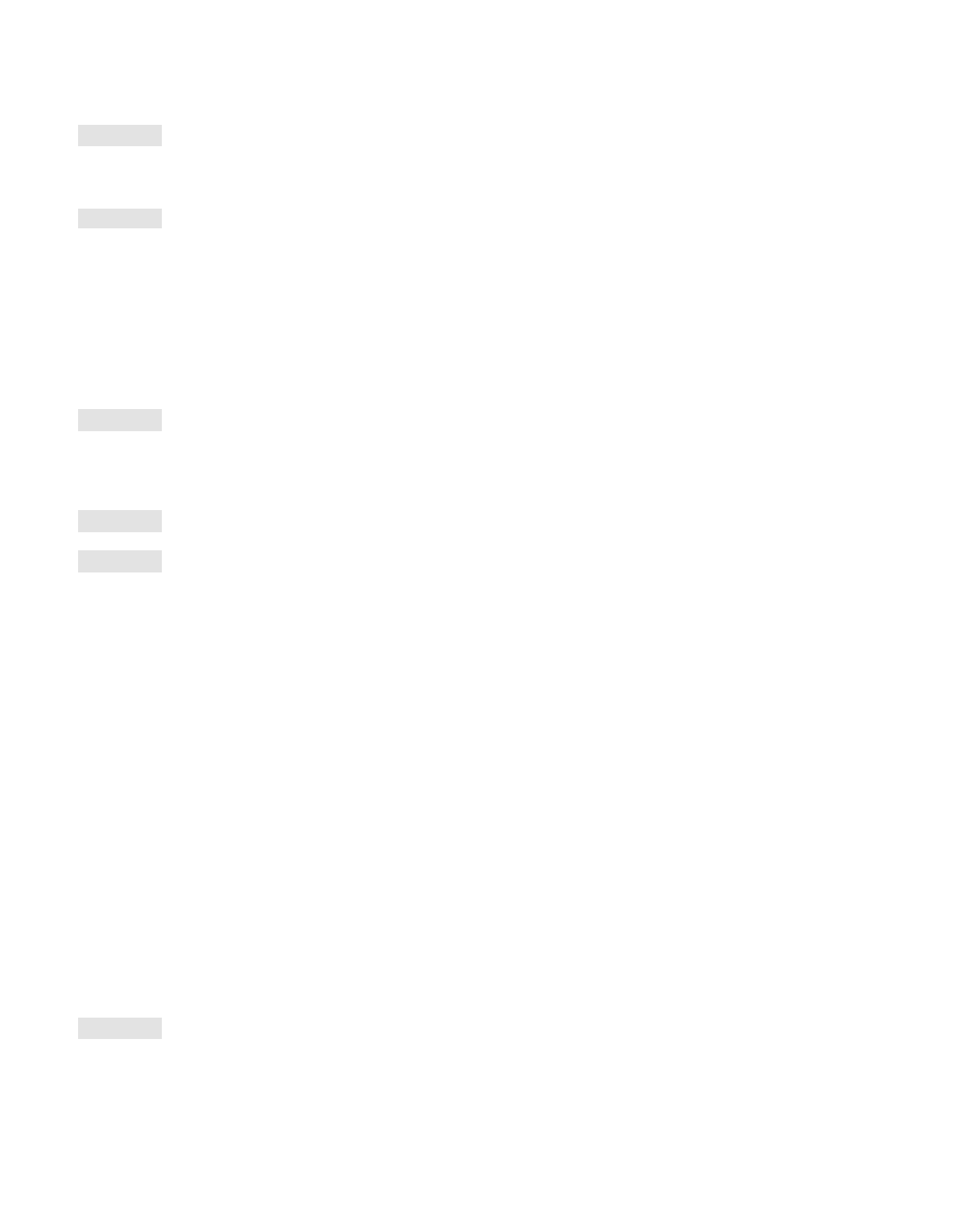$\mathcal{L}^{\text{max}}_{\text{max}}$  $\mathcal{L}^{\text{max}}_{\text{max}}$  $\mathcal{L}^{\text{max}}_{\text{max}}$  $\mathcal{L}^{\text{max}}_{\text{max}}$  $\mathcal{L}^{\text{max}}$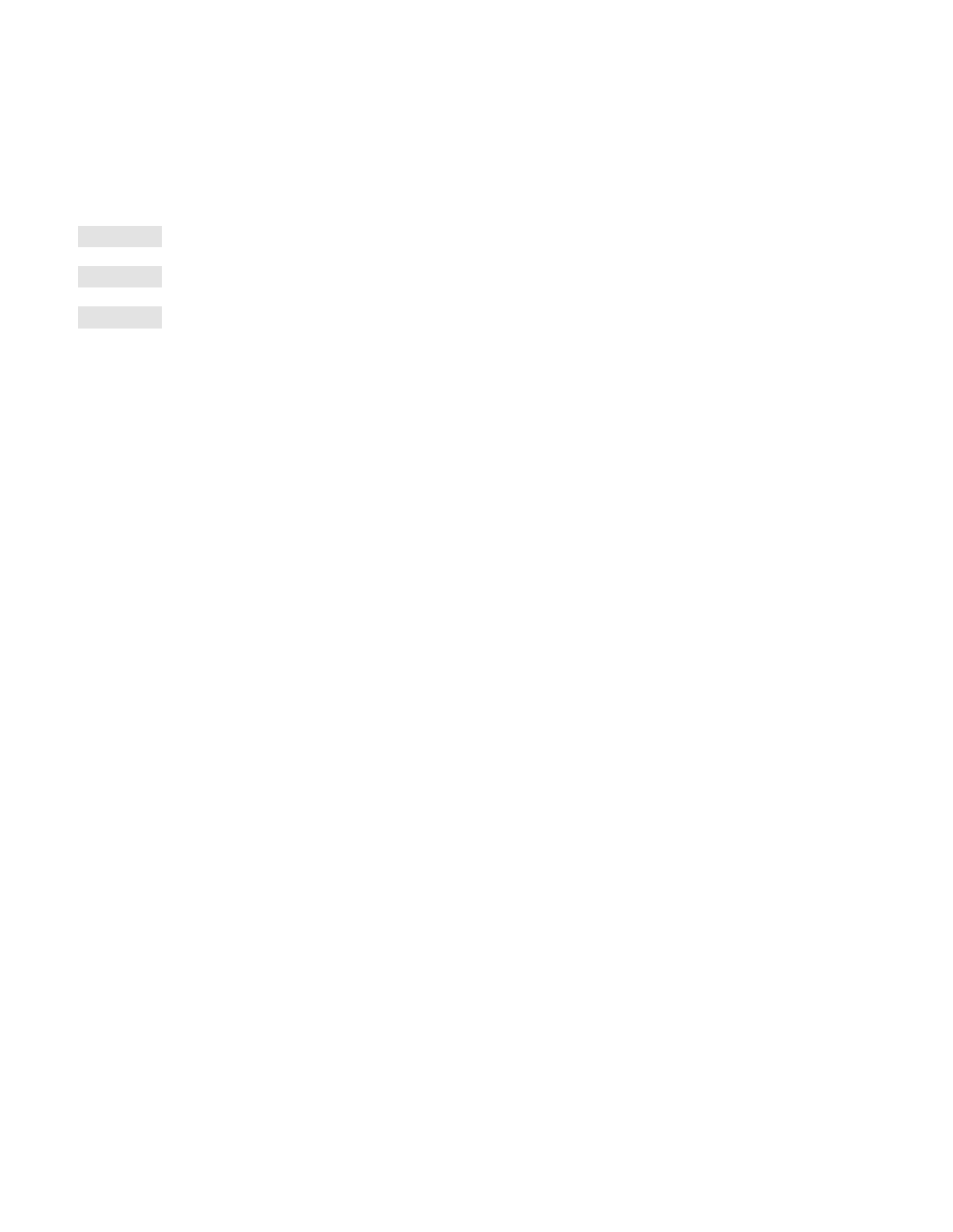$\mathcal{O}(\mathbb{R}^d)$